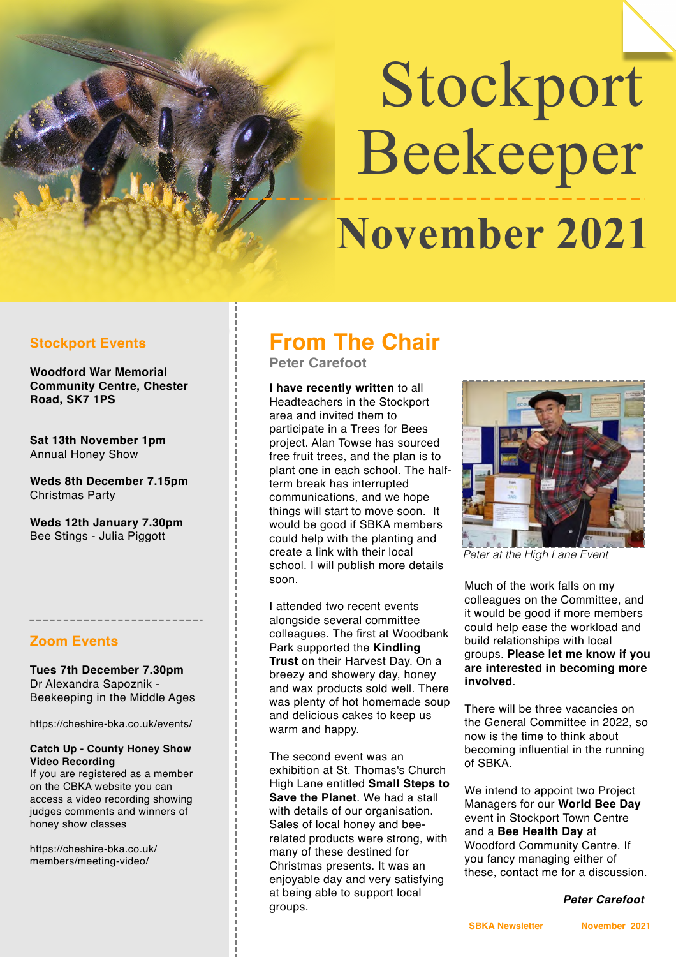# Stockport Beekeeper  **November 2021**

#### **Stockport Events**

**Woodford War Memorial Community Centre, Chester Road, SK7 1PS** 

**Sat 13th November 1pm** Annual Honey Show

**Weds 8th December 7.15pm** Christmas Party

**Weds 12th January 7.30pm** Bee Stings - Julia Piggott

#### **Zoom Events**

**Tues 7th December 7.30pm** Dr Alexandra Sapoznik - Beekeeping in the Middle Ages

https://cheshire-bka.co.uk/events/

#### **Catch Up - County Honey Show Video Recording**

If you are registered as a member on the CBKA website you can access a video recording showing judges comments and winners of honey show classes

https://cheshire-bka.co.uk/ members/meeting-video/

# **From The Chair**

**Peter Carefoot** 

**I have recently written** to all Headteachers in the Stockport area and invited them to participate in a Trees for Bees project. Alan Towse has sourced free fruit trees, and the plan is to plant one in each school. The halfterm break has interrupted communications, and we hope things will start to move soon. It would be good if SBKA members could help with the planting and create a link with their local school. I will publish more details soon.

I attended two recent events alongside several committee colleagues. The first at Woodbank Park supported the **Kindling Trust** on their Harvest Day. On a breezy and showery day, honey and wax products sold well. There was plenty of hot homemade soup and delicious cakes to keep us warm and happy.

The second event was an exhibition at St. Thomas's Church High Lane entitled **Small Steps to Save the Planet**. We had a stall with details of our organisation. Sales of local honey and beerelated products were strong, with many of these destined for Christmas presents. It was an enjoyable day and very satisfying at being able to support local groups.



*Peter at the High Lane Event*

Much of the work falls on my colleagues on the Committee, and it would be good if more members could help ease the workload and build relationships with local groups. **Please let me know if you are interested in becoming more involved**.

There will be three vacancies on the General Committee in 2022, so now is the time to think about becoming influential in the running of SBKA.

We intend to appoint two Project Managers for our **World Bee Day** event in Stockport Town Centre and a **Bee Health Day** at Woodford Community Centre. If you fancy managing either of these, contact me for a discussion.

#### *Peter Carefoot*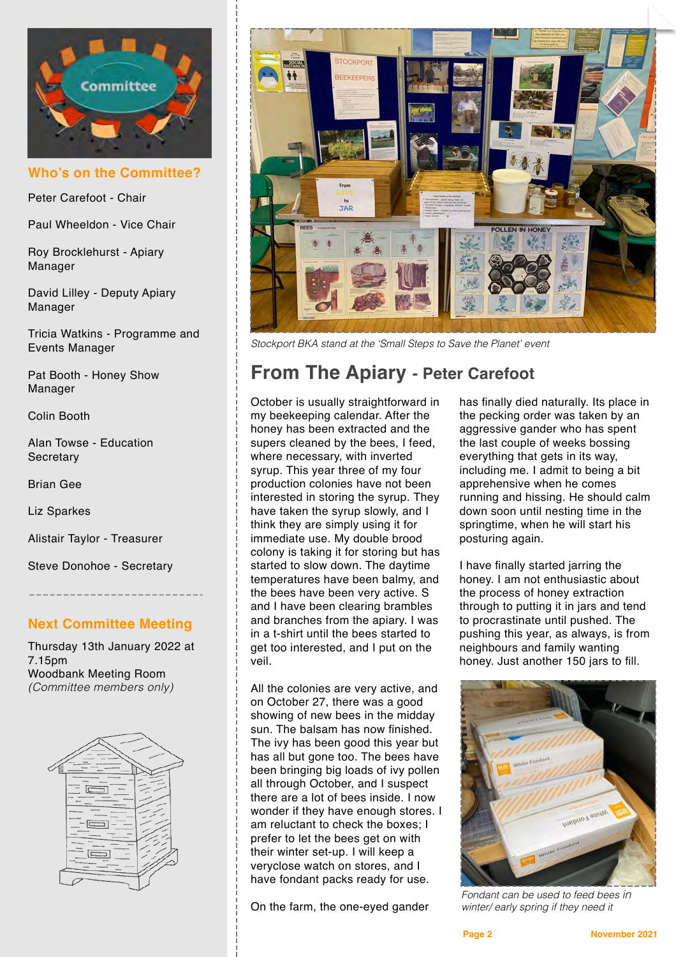

**Who's on the Committee?**

Peter Carefoot - Chair

Paul Wheeldon - Vice Chair

Roy Brocklehurst - Apiary Manager

David Lilley - Deputy Apiary Manager

Tricia Watkins - Programme and Events Manager

Pat Booth - Honey Show Manager

Colin Booth

Alan Towse - Education **Secretary** 

Brian Gee

Liz Sparkes

Alistair Taylor - Treasurer

Steve Donohoe - Secretary

#### **Next Committee Meeting**

Thursday 13th January 2022 at 7.15pm Woodbank Meeting Room *(Committee members only)*





*Stockport BKA stand at the 'Small Steps to Save the Planet' event* 

# **From The Apiary - Peter Carefoot**

October is usually straightforward in my beekeeping calendar. After the honey has been extracted and the supers cleaned by the bees, I feed, where necessary, with inverted syrup. This year three of my four production colonies have not been interested in storing the syrup. They have taken the syrup slowly, and I think they are simply using it for immediate use. My double brood colony is taking it for storing but has started to slow down. The daytime temperatures have been balmy, and the bees have been very active. S and I have been clearing brambles and branches from the apiary. I was in a t-shirt until the bees started to get too interested, and I put on the veil.

All the colonies are very active, and on October 27, there was a good showing of new bees in the midday sun. The balsam has now finished. The ivy has been good this year but has all but gone too. The bees have been bringing big loads of ivy pollen all through October, and I suspect there are a lot of bees inside. I now wonder if they have enough stores. I am reluctant to check the boxes; I prefer to let the bees get on with their winter set-up. I will keep a veryclose watch on stores, and I have fondant packs ready for use.

On the farm, the one-eyed gander

has finally died naturally. Its place in the pecking order was taken by an aggressive gander who has spent the last couple of weeks bossing everything that gets in its way, including me. I admit to being a bit apprehensive when he comes running and hissing. He should calm down soon until nesting time in the springtime, when he will start his posturing again.

I have finally started jarring the honey. I am not enthusiastic about the process of honey extraction through to putting it in jars and tend to procrastinate until pushed. The pushing this year, as always, is from neighbours and family wanting honey. Just another 150 jars to fill.



*Fondant can be used to feed bees in winter/ early spring if they need it*